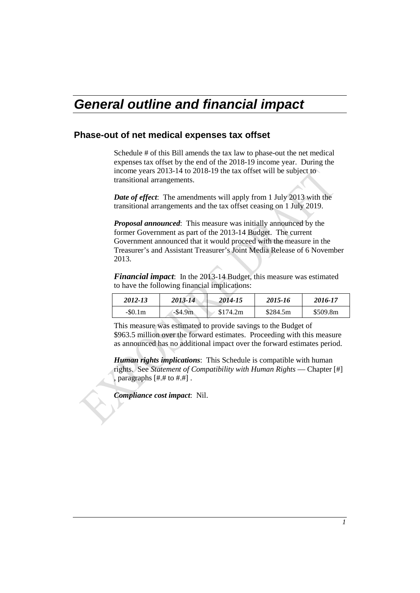# *General outline and financial impact*

# **Phase-out of net medical expenses tax offset**

Schedule # of this Bill amends the tax law to phase-out the net medical expenses tax offset by the end of the 2018-19 income year. During the income years 2013-14 to 2018-19 the tax offset will be subject to transitional arrangements.

*Date of effect*: The amendments will apply from 1 July 2013 with the transitional arrangements and the tax offset ceasing on 1 July 2019.

*Proposal announced*: This measure was initially announced by the former Government as part of the 2013-14 Budget. The current Government announced that it would proceed with the measure in the Treasurer's and Assistant Treasurer's Joint Media Release of 6 November 2013.

*Financial impact*: In the 2013-14 Budget, this measure was estimated to have the following financial implications:

| 2012-13       | 2013-14    | 2014-15  | 2015-16  | 2016-17  |
|---------------|------------|----------|----------|----------|
| $-$ \$0.1 $m$ | $-$ \$4.9m | \$174.2m | \$284.5m | \$509.8m |

This measure was estimated to provide savings to the Budget of \$963.5 million over the forward estimates. Proceeding with this measure as announced has no additional impact over the forward estimates period.

*Human rights implications*: This Schedule is compatible with human rights. See *Statement of Compatibility with Human Rights* — Chapter [#] , paragraphs [#.# to #.#] .

*Compliance cost impact*: Nil.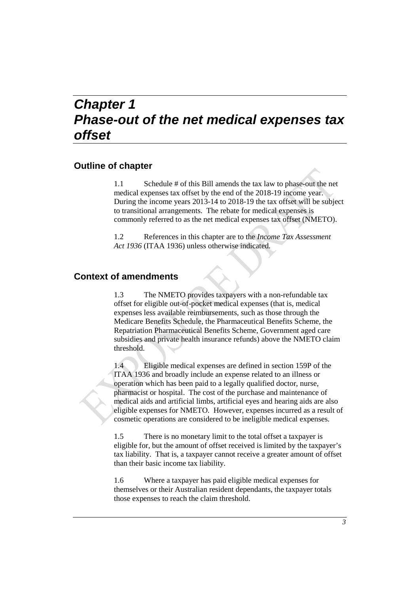# *Chapter 1 Phase-out of the net medical expenses tax offset*

# **Outline of chapter**

1.1 Schedule # of this Bill amends the tax law to phase-out the net medical expenses tax offset by the end of the 2018-19 income year. During the income years 2013-14 to 2018-19 the tax offset will be subject to transitional arrangements. The rebate for medical expenses is commonly referred to as the net medical expenses tax offset (NMETO).

1.2 References in this chapter are to the *Income Tax Assessment Act 1936* (ITAA 1936) unless otherwise indicated.

# **Context of amendments**

1.3 The NMETO provides taxpayers with a non-refundable tax offset for eligible out-of-pocket medical expenses (that is, medical expenses less available reimbursements, such as those through the Medicare Benefits Schedule, the Pharmaceutical Benefits Scheme, the Repatriation Pharmaceutical Benefits Scheme, Government aged care subsidies and private health insurance refunds) above the NMETO claim threshold.

1.4 Eligible medical expenses are defined in section 159P of the ITAA 1936 and broadly include an expense related to an illness or operation which has been paid to a legally qualified doctor, nurse, pharmacist or hospital. The cost of the purchase and maintenance of medical aids and artificial limbs, artificial eyes and hearing aids are also eligible expenses for NMETO. However, expenses incurred as a result of cosmetic operations are considered to be ineligible medical expenses.

1.5 There is no monetary limit to the total offset a taxpayer is eligible for, but the amount of offset received is limited by the taxpayer's tax liability. That is, a taxpayer cannot receive a greater amount of offset than their basic income tax liability.

1.6 Where a taxpayer has paid eligible medical expenses for themselves or their Australian resident dependants, the taxpayer totals those expenses to reach the claim threshold.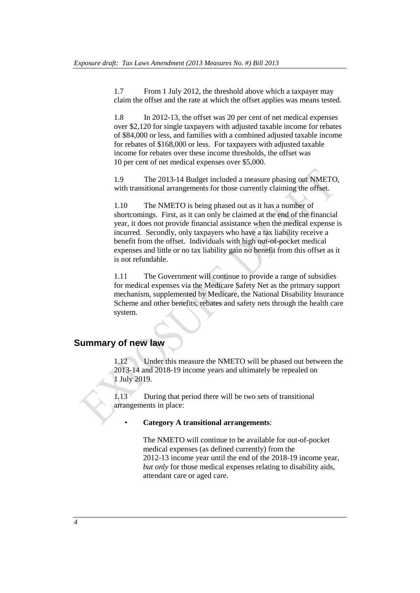1.7 From 1 July 2012, the threshold above which a taxpayer may claim the offset and the rate at which the offset applies was means tested.

1.8 In 2012-13, the offset was 20 per cent of net medical expenses over \$2,120 for single taxpayers with adjusted taxable income for rebates of \$84,000 or less, and families with a combined adjusted taxable income for rebates of \$168,000 or less. For taxpayers with adjusted taxable income for rebates over these income thresholds, the offset was 10 per cent of net medical expenses over \$5,000.

1.9 The 2013-14 Budget included a measure phasing out NMETO, with transitional arrangements for those currently claiming the offset.

1.10 The NMETO is being phased out as it has a number of shortcomings. First, as it can only be claimed at the end of the financial year, it does not provide financial assistance when the medical expense is incurred. Secondly, only taxpayers who have a tax liability receive a benefit from the offset. Individuals with high out-of-pocket medical expenses and little or no tax liability gain no benefit from this offset as it is not refundable.

1.11 The Government will continue to provide a range of subsidies for medical expenses via the Medicare Safety Net as the primary support mechanism, supplemented by Medicare, the National Disability Insurance Scheme and other benefits, rebates and safety nets through the health care system.

# **Summary of new law**

1.12 Under this measure the NMETO will be phased out between the 2013-14 and 2018-19 income years and ultimately be repealed on 1 July 2019.

1.13 During that period there will be two sets of transitional arrangements in place:

#### • **Category A transitional arrangements**:

The NMETO will continue to be available for out-of-pocket medical expenses (as defined currently) from the 2012-13 income year until the end of the 2018-19 income year, *but only* for those medical expenses relating to disability aids, attendant care or aged care.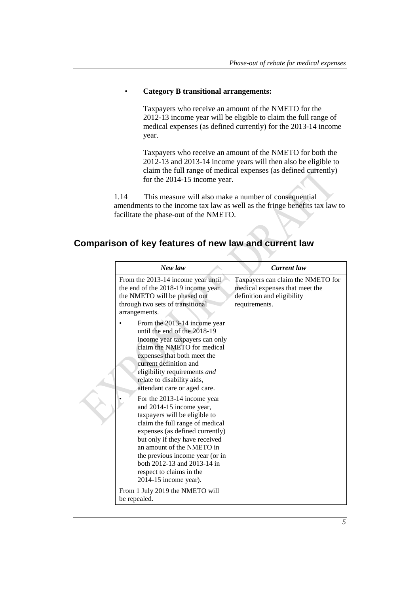# • **Category B transitional arrangements:**

Taxpayers who receive an amount of the NMETO for the 2012-13 income year will be eligible to claim the full range of medical expenses (as defined currently) for the 2013-14 income year.

Taxpayers who receive an amount of the NMETO for both the 2012-13 and 2013-14 income years will then also be eligible to claim the full range of medical expenses (as defined currently) for the 2014-15 income year.

1.14 This measure will also make a number of consequential amendments to the income tax law as well as the fringe benefits tax law to facilitate the phase-out of the NMETO.

# **Comparison of key features of new law and current law**

| New law                                                                                                                                                                                                                                                                                                                                                                                                                                                                                                                                                                                                                                      | Current law                                                                                                        |
|----------------------------------------------------------------------------------------------------------------------------------------------------------------------------------------------------------------------------------------------------------------------------------------------------------------------------------------------------------------------------------------------------------------------------------------------------------------------------------------------------------------------------------------------------------------------------------------------------------------------------------------------|--------------------------------------------------------------------------------------------------------------------|
| From the 2013-14 income year until<br>the end of the 2018-19 income year<br>the NMETO will be phased out<br>through two sets of transitional<br>arrangements.                                                                                                                                                                                                                                                                                                                                                                                                                                                                                | Taxpayers can claim the NMETO for<br>medical expenses that meet the<br>definition and eligibility<br>requirements. |
| From the 2013-14 income year<br>until the end of the 2018-19<br>income year taxpayers can only<br>claim the NMETO for medical<br>expenses that both meet the<br>current definition and<br>eligibility requirements and<br>relate to disability aids,<br>attendant care or aged care.<br>For the 2013-14 income year<br>and 2014-15 income year,<br>taxpayers will be eligible to<br>claim the full range of medical<br>expenses (as defined currently)<br>but only if they have received<br>an amount of the NMETO in<br>the previous income year (or in<br>both 2012-13 and 2013-14 in<br>respect to claims in the<br>2014-15 income year). |                                                                                                                    |
| From 1 July 2019 the NMETO will<br>be repealed.                                                                                                                                                                                                                                                                                                                                                                                                                                                                                                                                                                                              |                                                                                                                    |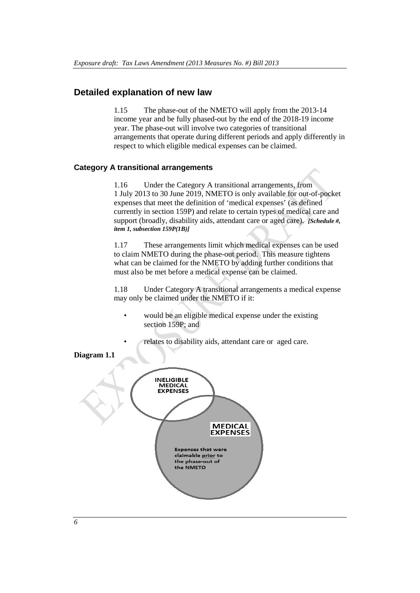# **Detailed explanation of new law**

1.15 The phase-out of the NMETO will apply from the 2013-14 income year and be fully phased-out by the end of the 2018-19 income year. The phase-out will involve two categories of transitional arrangements that operate during different periods and apply differently in respect to which eligible medical expenses can be claimed.

# **Category A transitional arrangements**

1.16 Under the Category A transitional arrangements, from 1 July 2013 to 30 June 2019, NMETO is only available for out-of-pocket expenses that meet the definition of 'medical expenses' (as defined currently in section 159P) and relate to certain types of medical care and support (broadly, disability aids, attendant care or aged care). *[Schedule #, item 1, subsection 159P(1B)]*

1.17 These arrangements limit which medical expenses can be used to claim NMETO during the phase-out period. This measure tightens what can be claimed for the NMETO by adding further conditions that must also be met before a medical expense can be claimed.

1.18 Under Category A transitional arrangements a medical expense may only be claimed under the NMETO if it:

- would be an eligible medical expense under the existing section 159P; and
- relates to disability aids, attendant care or aged care.

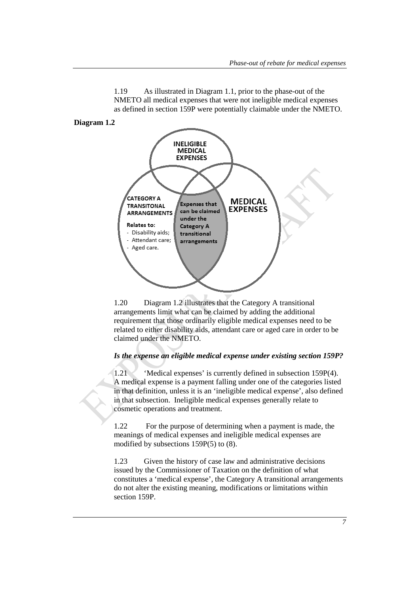

1.19 As illustrated in Diagram 1.1, prior to the phase-out of the NMETO all medical expenses that were not ineligible medical expenses as defined in section 159P were potentially claimable under the NMETO.

**Diagram 1.2**

1.20 Diagram 1.2 illustrates that the Category A transitional arrangements limit what can be claimed by adding the additional requirement that those ordinarily eligible medical expenses need to be related to either disability aids, attendant care or aged care in order to be claimed under the NMETO.

#### *Is the expense an eligible medical expense under existing section 159P?*

1.21 'Medical expenses' is currently defined in subsection 159P(4). A medical expense is a payment falling under one of the categories listed in that definition, unless it is an 'ineligible medical expense', also defined in that subsection. Ineligible medical expenses generally relate to cosmetic operations and treatment.

1.22 For the purpose of determining when a payment is made, the meanings of medical expenses and ineligible medical expenses are modified by subsections 159P(5) to (8).

1.23 Given the history of case law and administrative decisions issued by the Commissioner of Taxation on the definition of what constitutes a 'medical expense', the Category A transitional arrangements do not alter the existing meaning, modifications or limitations within section 159P.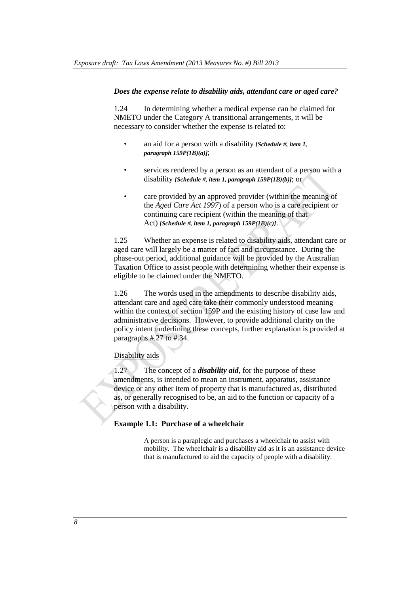## *Does the expense relate to disability aids, attendant care or aged care?*

1.24 In determining whether a medical expense can be claimed for NMETO under the Category A transitional arrangements, it will be necessary to consider whether the expense is related to:

- an aid for a person with a disability *[Schedule #, item 1, paragraph 159P(1B)(a)]*;
- services rendered by a person as an attendant of a person with a disability *[Schedule #, item 1, paragraph 159P(1B)(b)]*; or
- care provided by an approved provider (within the meaning of the *Aged Care Act 1997*) of a person who is a care recipient or continuing care recipient (within the meaning of that Act) *[Schedule #, item 1, paragraph 159P(1B)(c)]*.

1.25 Whether an expense is related to disability aids, attendant care or aged care will largely be a matter of fact and circumstance. During the phase-out period, additional guidance will be provided by the Australian Taxation Office to assist people with determining whether their expense is eligible to be claimed under the NMETO.

1.26 The words used in the amendments to describe disability aids, attendant care and aged care take their commonly understood meaning within the context of section 159P and the existing history of case law and administrative decisions. However, to provide additional clarity on the policy intent underlining these concepts, further explanation is provided at paragraphs #.27 to #.34.

## Disability aids

1.27 The concept of a *disability aid*, for the purpose of these amendments, is intended to mean an instrument, apparatus, assistance device or any other item of property that is manufactured as, distributed as, or generally recognised to be, an aid to the function or capacity of a person with a disability.

# **Example 1.1: Purchase of a wheelchair**

A person is a paraplegic and purchases a wheelchair to assist with mobility. The wheelchair is a disability aid as it is an assistance device that is manufactured to aid the capacity of people with a disability.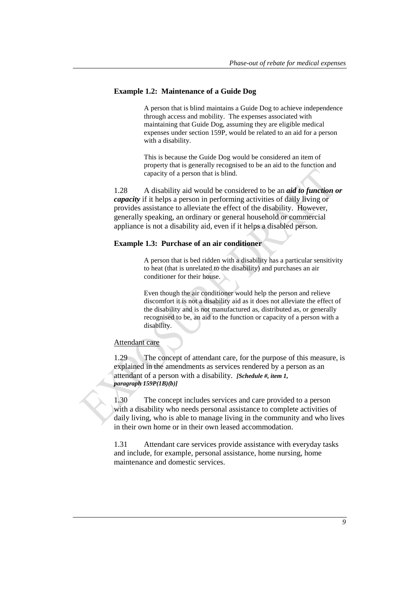# **Example 1.2: Maintenance of a Guide Dog**

A person that is blind maintains a Guide Dog to achieve independence through access and mobility. The expenses associated with maintaining that Guide Dog, assuming they are eligible medical expenses under section 159P, would be related to an aid for a person with a disability.

This is because the Guide Dog would be considered an item of property that is generally recognised to be an aid to the function and capacity of a person that is blind.

1.28 A disability aid would be considered to be an *aid to function or capacity* if it helps a person in performing activities of daily living or provides assistance to alleviate the effect of the disability. However, generally speaking, an ordinary or general household or commercial appliance is not a disability aid, even if it helps a disabled person.

## **Example 1.3: Purchase of an air conditioner**

A person that is bed ridden with a disability has a particular sensitivity to heat (that is unrelated to the disability) and purchases an air conditioner for their house.

Even though the air conditioner would help the person and relieve discomfort it is not a disability aid as it does not alleviate the effect of the disability and is not manufactured as, distributed as, or generally recognised to be, an aid to the function or capacity of a person with a disability.

#### Attendant care

1.29 The concept of attendant care, for the purpose of this measure, is explained in the amendments as services rendered by a person as an attendant of a person with a disability. *[Schedule #, item 1, paragraph 159P(1B)(b)]*

1.30 The concept includes services and care provided to a person with a disability who needs personal assistance to complete activities of daily living, who is able to manage living in the community and who lives in their own home or in their own leased accommodation.

1.31 Attendant care services provide assistance with everyday tasks and include, for example, personal assistance, home nursing, home maintenance and domestic services.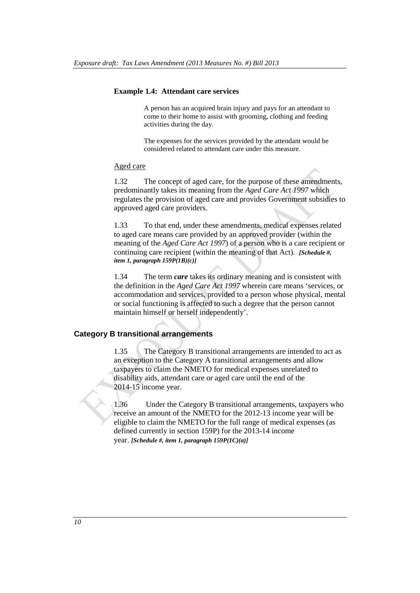## **Example 1.4: Attendant care services**

A person has an acquired brain injury and pays for an attendant to come to their home to assist with grooming, clothing and feeding activities during the day.

The expenses for the services provided by the attendant would be considered related to attendant care under this measure.

#### Aged care

1.32 The concept of aged care, for the purpose of these amendments, predominantly takes its meaning from the *Aged Care Act 1997* which regulates the provision of aged care and provides Government subsidies to approved aged care providers.

1.33 To that end, under these amendments, medical expenses related to aged care means care provided by an approved provider (within the meaning of the *Aged Care Act 1997*) of a person who is a care recipient or continuing care recipient (within the meaning of that Act). *[Schedule #, item 1, paragraph 159P(1B)(c)]*

1.34 The term *care* takes its ordinary meaning and is consistent with the definition in the *Aged Care Act 1997* wherein care means 'services, or accommodation and services, provided to a person whose physical, mental or social functioning is affected to such a degree that the person cannot maintain himself or herself independently'.

## **Category B transitional arrangements**

1.35 The Category B transitional arrangements are intended to act as an exception to the Category A transitional arrangements and allow taxpayers to claim the NMETO for medical expenses unrelated to disability aids, attendant care or aged care until the end of the 2014-15 income year.

1.36 Under the Category B transitional arrangements, taxpayers who receive an amount of the NMETO for the 2012-13 income year will be eligible to claim the NMETO for the full range of medical expenses (as defined currently in section 159P) for the 2013-14 income year. *[Schedule #, item 1, paragraph 159P(1C)(a)]*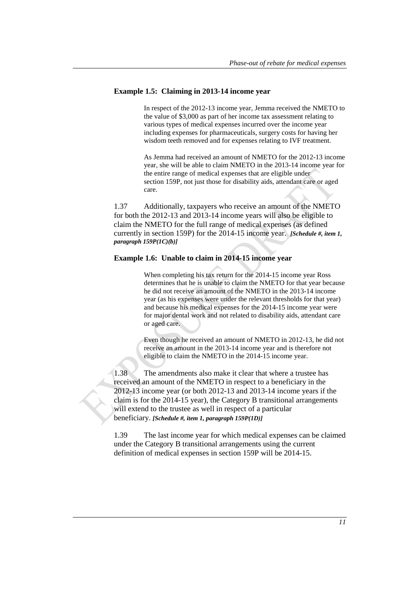# **Example 1.5: Claiming in 2013-14 income year**

In respect of the 2012-13 income year, Jemma received the NMETO to the value of \$3,000 as part of her income tax assessment relating to various types of medical expenses incurred over the income year including expenses for pharmaceuticals, surgery costs for having her wisdom teeth removed and for expenses relating to IVF treatment.

As Jemma had received an amount of NMETO for the 2012-13 income year, she will be able to claim NMETO in the 2013-14 income year for the entire range of medical expenses that are eligible under section 159P, not just those for disability aids, attendant care or aged care.

1.37 Additionally, taxpayers who receive an amount of the NMETO for both the 2012-13 and 2013-14 income years will also be eligible to claim the NMETO for the full range of medical expenses (as defined currently in section 159P) for the 2014-15 income year. *[Schedule #, item 1, paragraph 159P(1C)(b)]*

## **Example 1.6: Unable to claim in 2014-15 income year**

When completing his tax return for the 2014-15 income year Ross determines that he is unable to claim the NMETO for that year because he did not receive an amount of the NMETO in the 2013-14 income year (as his expenses were under the relevant thresholds for that year) and because his medical expenses for the 2014-15 income year were for major dental work and not related to disability aids, attendant care or aged care.

Even though he received an amount of NMETO in 2012-13, he did not receive an amount in the 2013-14 income year and is therefore not eligible to claim the NMETO in the 2014-15 income year.

1.38 The amendments also make it clear that where a trustee has received an amount of the NMETO in respect to a beneficiary in the 2012-13 income year (or both 2012-13 and 2013-14 income years if the claim is for the 2014-15 year), the Category B transitional arrangements will extend to the trustee as well in respect of a particular beneficiary. *[Schedule #, item 1, paragraph 159P(1D)]*

1.39 The last income year for which medical expenses can be claimed under the Category B transitional arrangements using the current definition of medical expenses in section 159P will be 2014-15.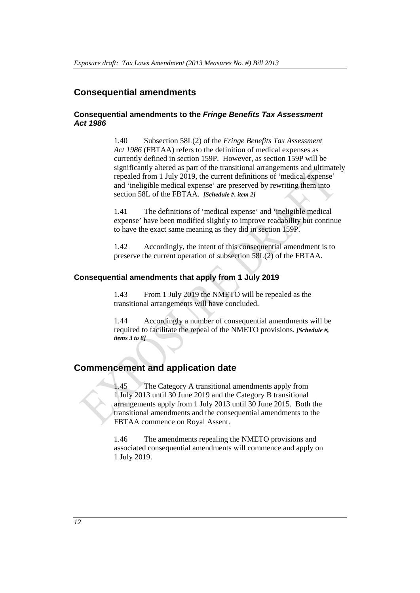# **Consequential amendments**

# **Consequential amendments to the** *Fringe Benefits Tax Assessment Act 1986*

1.40 Subsection 58L(2) of the *Fringe Benefits Tax Assessment Act 1986* (FBTAA) refers to the definition of medical expenses as currently defined in section 159P. However, as section 159P will be significantly altered as part of the transitional arrangements and ultimately repealed from 1 July 2019, the current definitions of 'medical expense' and 'ineligible medical expense' are preserved by rewriting them into section 58L of the FBTAA. *[Schedule #, item 2]*

1.41 The definitions of 'medical expense' and 'ineligible medical expense' have been modified slightly to improve readability but continue to have the exact same meaning as they did in section 159P.

1.42 Accordingly, the intent of this consequential amendment is to preserve the current operation of subsection 58L(2) of the FBTAA.

## **Consequential amendments that apply from 1 July 2019**

1.43 From 1 July 2019 the NMETO will be repealed as the transitional arrangements will have concluded.

1.44 Accordingly a number of consequential amendments will be required to facilitate the repeal of the NMETO provisions. *[Schedule #, items 3 to 8]*

# **[Commencement](http://intranet/documents/1983/Guidelines%20for%20Preparing%20Drafting%20Instructions.doc#Commencement_date) and application date**

1.45 The Category A transitional amendments apply from 1 July 2013 until 30 June 2019 and the Category B transitional arrangements apply from 1 July 2013 until 30 June 2015. Both the transitional amendments and the consequential amendments to the FBTAA commence on Royal Assent.

1.46 The amendments repealing the NMETO provisions and associated consequential amendments will commence and apply on 1 July 2019.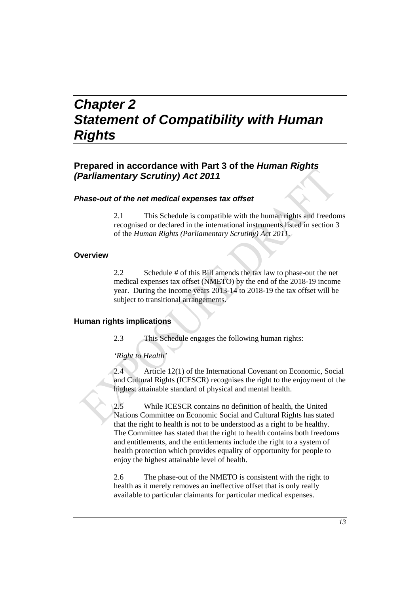# *Chapter 2 Statement of Compatibility with Human Rights*

# **Prepared in accordance with Part 3 of the** *Human Rights (Parliamentary Scrutiny) Act 2011*

## *Phase-out of the net medical expenses tax offset*

2.1 This Schedule is compatible with the human rights and freedoms recognised or declared in the international instruments listed in section 3 of the *Human Rights (Parliamentary Scrutiny) Act 2011*.

## **Overview**

2.2 Schedule # of this Bill amends the tax law to phase-out the net medical expenses tax offset (NMETO) by the end of the 2018-19 income year. During the income years 2013-14 to 2018-19 the tax offset will be subject to transitional arrangements.

## **Human rights implications**

2.3 This Schedule engages the following human rights:

#### *'Right to Health'*

2.4 Article 12(1) of the International Covenant on Economic, Social and Cultural Rights (ICESCR) recognises the right to the enjoyment of the highest attainable standard of physical and mental health.

2.5 While ICESCR contains no definition of health, the United Nations Committee on Economic Social and Cultural Rights has stated that the right to health is not to be understood as a right to be healthy. The Committee has stated that the right to health contains both freedoms and entitlements, and the entitlements include the right to a system of health protection which provides equality of opportunity for people to enjoy the highest attainable level of health.

2.6 The phase-out of the NMETO is consistent with the right to health as it merely removes an ineffective offset that is only really available to particular claimants for particular medical expenses.